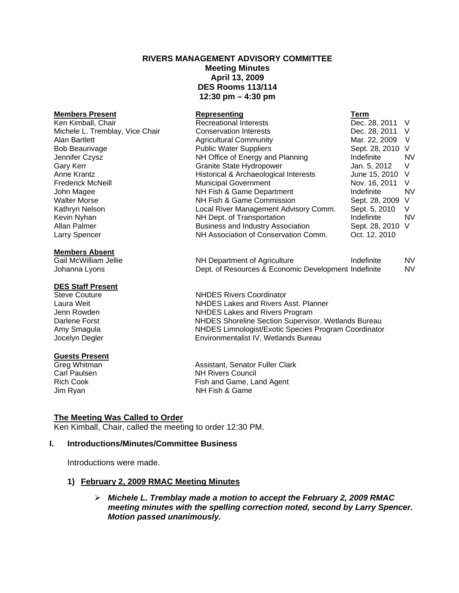# **RIVERS MANAGEMENT ADVISORY COMMITTEE Meeting Minutes April 13, 2009 DES Rooms 113/114 12:30 pm – 4:30 pm**

| <b>Members Present</b>          | Representing                                         | Term             |     |
|---------------------------------|------------------------------------------------------|------------------|-----|
| Ken Kimball, Chair              | Recreational Interests                               | Dec. 28, 2011 V  |     |
| Michele L. Tremblay, Vice Chair | <b>Conservation Interests</b>                        | Dec. 28, 2011 V  |     |
| Alan Bartlett                   | <b>Agricultural Community</b>                        | Mar. 22, 2009 V  |     |
| Bob Beaurivage                  | <b>Public Water Suppliers</b>                        | Sept. 28, 2010 V |     |
| Jennifer Czysz                  | NH Office of Energy and Planning                     | Indefinite       | NV. |
| Gary Kerr                       | Granite State Hydropower                             | Jan. 5, 2012     | V   |
| Anne Krantz                     | Historical & Archaeological Interests                | June 15, 2010 V  |     |
| Frederick McNeill               | <b>Municipal Government</b>                          | Nov. 16, 2011    | - V |
| John Magee                      | NH Fish & Game Department                            | Indefinite       | NV. |
| Walter Morse                    | NH Fish & Game Commission                            | Sept. 28, 2009 V |     |
| Kathryn Nelson                  | Local River Management Advisory Comm.                | Sept. 5, 2010    | V   |
| Kevin Nyhan                     | NH Dept. of Transportation                           | Indefinite       | NV. |
| Allan Palmer                    | <b>Business and Industry Association</b>             | Sept. 28, 2010 V |     |
| Larry Spencer                   | NH Association of Conservation Comm.                 | Oct. 12, 2010    |     |
| <b>Members Absent</b>           |                                                      |                  |     |
| Gail McWilliam Jellie           | NH Department of Agriculture                         | Indefinite       | NV. |
| Johanna Lyons                   | Dept. of Resources & Economic Development Indefinite |                  | NV. |
| <b>DES Staff Present</b>        |                                                      |                  |     |
| <b>Steve Couture</b>            | <b>NHDES Rivers Coordinator</b>                      |                  |     |
| Laura Weit                      | NHDES Lakes and Rivers Asst. Planner                 |                  |     |

Jenn Rowden **NHDES Lakes and Rivers Program**<br>Darlene Forst **NHDES** Shoreline Section Supervise Darlene Forst **NHDES Shoreline Section Supervisor, Wetlands Bureau**<br>Amy Smagula **NHDES** Limnologist/Exotic Species Program Coordinator Jocelyn Degler Environmentalist IV, Wetlands Bureau

# **Guests Present**<br>Greg Whitman

Greg Whitman **Assistant, Senator Fuller Clark**<br>
Carl Paulsen **Carl Paulsen NH Rivers Council** Rich Cook Fish and Game, Land Agent Jim Ryan NH Fish & Game

NHDES Limnologist/Exotic Species Program Coordinator

# **The Meeting Was Called to Order**

Ken Kimball, Chair, called the meeting to order 12:30 PM.

## **I. Introductions/Minutes/Committee Business**

Introductions were made.

## **1) February 2, 2009 RMAC Meeting Minutes**

¾ *Michele L. Tremblay made a motion to accept the February 2, 2009 RMAC meeting minutes with the spelling correction noted, second by Larry Spencer. Motion passed unanimously.*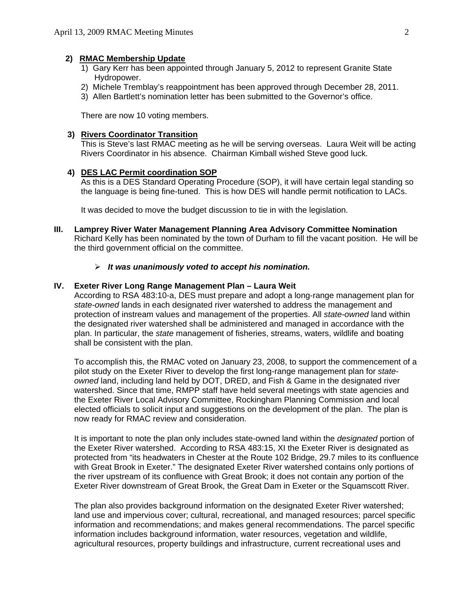## **2) RMAC Membership Update**

- 1) Gary Kerr has been appointed through January 5, 2012 to represent Granite State Hydropower.
- 2) Michele Tremblay's reappointment has been approved through December 28, 2011.
- 3) Allen Bartlett's nomination letter has been submitted to the Governor's office.

There are now 10 voting members.

## **3) Rivers Coordinator Transition**

 This is Steve's last RMAC meeting as he will be serving overseas. Laura Weit will be acting Rivers Coordinator in his absence. Chairman Kimball wished Steve good luck.

#### **4) DES LAC Permit coordination SOP**

 As this is a DES Standard Operating Procedure (SOP), it will have certain legal standing so the language is being fine-tuned. This is how DES will handle permit notification to LACs.

It was decided to move the budget discussion to tie in with the legislation.

**III. Lamprey River Water Management Planning Area Advisory Committee Nomination**  Richard Kelly has been nominated by the town of Durham to fill the vacant position. He will be the third government official on the committee.

## ¾ *It was unanimously voted to accept his nomination.*

#### **IV. Exeter River Long Range Management Plan – Laura Weit**

According to RSA 483:10-a, DES must prepare and adopt a long-range management plan for *state-owned* lands in each designated river watershed to address the management and protection of instream values and management of the properties. All *state-owned* land within the designated river watershed shall be administered and managed in accordance with the plan. In particular, the *state* management of fisheries, streams, waters, wildlife and boating shall be consistent with the plan.

To accomplish this, the RMAC voted on January 23, 2008, to support the commencement of a pilot study on the Exeter River to develop the first long-range management plan for *stateowned* land, including land held by DOT, DRED, and Fish & Game in the designated river watershed. Since that time, RMPP staff have held several meetings with state agencies and the Exeter River Local Advisory Committee, Rockingham Planning Commission and local elected officials to solicit input and suggestions on the development of the plan. The plan is now ready for RMAC review and consideration.

It is important to note the plan only includes state-owned land within the *designated* portion of the Exeter River watershed. According to RSA 483:15, XI the Exeter River is designated as protected from "its headwaters in Chester at the Route 102 Bridge, 29.7 miles to its confluence with Great Brook in Exeter." The designated Exeter River watershed contains only portions of the river upstream of its confluence with Great Brook; it does not contain any portion of the Exeter River downstream of Great Brook, the Great Dam in Exeter or the Squamscott River.

The plan also provides background information on the designated Exeter River watershed; land use and impervious cover; cultural, recreational, and managed resources; parcel specific information and recommendations; and makes general recommendations. The parcel specific information includes background information, water resources, vegetation and wildlife, agricultural resources, property buildings and infrastructure, current recreational uses and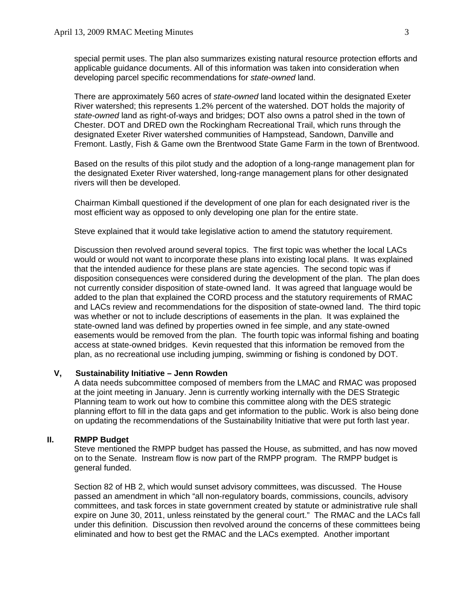special permit uses. The plan also summarizes existing natural resource protection efforts and applicable guidance documents. All of this information was taken into consideration when developing parcel specific recommendations for *state-owned* land.

There are approximately 560 acres of *state-owned* land located within the designated Exeter River watershed; this represents 1.2% percent of the watershed. DOT holds the majority of *state-owned* land as right-of-ways and bridges; DOT also owns a patrol shed in the town of Chester. DOT and DRED own the Rockingham Recreational Trail, which runs through the designated Exeter River watershed communities of Hampstead, Sandown, Danville and Fremont. Lastly, Fish & Game own the Brentwood State Game Farm in the town of Brentwood.

Based on the results of this pilot study and the adoption of a long-range management plan for the designated Exeter River watershed, long-range management plans for other designated rivers will then be developed.

Chairman Kimball questioned if the development of one plan for each designated river is the most efficient way as opposed to only developing one plan for the entire state.

Steve explained that it would take legislative action to amend the statutory requirement.

 Discussion then revolved around several topics. The first topic was whether the local LACs would or would not want to incorporate these plans into existing local plans. It was explained that the intended audience for these plans are state agencies. The second topic was if disposition consequences were considered during the development of the plan. The plan does not currently consider disposition of state-owned land. It was agreed that language would be added to the plan that explained the CORD process and the statutory requirements of RMAC and LACs review and recommendations for the disposition of state-owned land. The third topic was whether or not to include descriptions of easements in the plan. It was explained the state-owned land was defined by properties owned in fee simple, and any state-owned easements would be removed from the plan. The fourth topic was informal fishing and boating access at state-owned bridges. Kevin requested that this information be removed from the plan, as no recreational use including jumping, swimming or fishing is condoned by DOT.

#### **V, Sustainability Initiative – Jenn Rowden**

A data needs subcommittee composed of members from the LMAC and RMAC was proposed at the joint meeting in January. Jenn is currently working internally with the DES Strategic Planning team to work out how to combine this committee along with the DES strategic planning effort to fill in the data gaps and get information to the public. Work is also being done on updating the recommendations of the Sustainability Initiative that were put forth last year.

#### **II. RMPP Budget**

 Steve mentioned the RMPP budget has passed the House, as submitted, and has now moved on to the Senate. Instream flow is now part of the RMPP program. The RMPP budget is general funded.

 Section 82 of HB 2, which would sunset advisory committees, was discussed. The House passed an amendment in which "all non-regulatory boards, commissions, councils, advisory committees, and task forces in state government created by statute or administrative rule shall expire on June 30, 2011, unless reinstated by the general court." The RMAC and the LACs fall under this definition. Discussion then revolved around the concerns of these committees being eliminated and how to best get the RMAC and the LACs exempted. Another important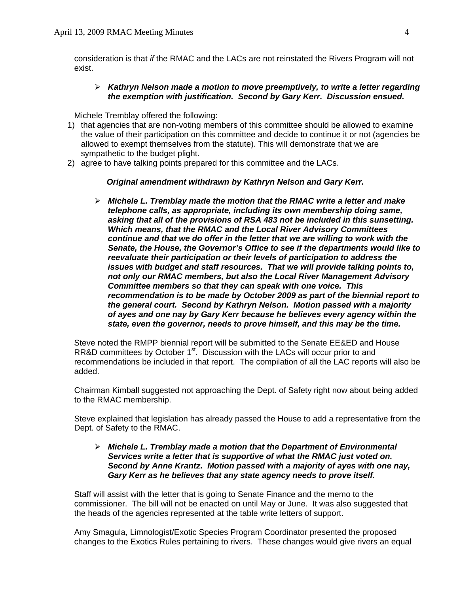consideration is that *if* the RMAC and the LACs are not reinstated the Rivers Program will not exist.

## ¾ *Kathryn Nelson made a motion to move preemptively, to write a letter regarding the exemption with justification. Second by Gary Kerr. Discussion ensued.*

Michele Tremblay offered the following:

- 1) that agencies that are non-voting members of this committee should be allowed to examine the value of their participation on this committee and decide to continue it or not (agencies be allowed to exempt themselves from the statute). This will demonstrate that we are sympathetic to the budget plight.
- 2) agree to have talking points prepared for this committee and the LACs.

## *Original amendment withdrawn by Kathryn Nelson and Gary Kerr.*

¾ *Michele L. Tremblay made the motion that the RMAC write a letter and make telephone calls, as appropriate, including its own membership doing same, asking that all of the provisions of RSA 483 not be included in this sunsetting. Which means, that the RMAC and the Local River Advisory Committees continue and that we do offer in the letter that we are willing to work with the Senate, the House, the Governor's Office to see if the departments would like to reevaluate their participation or their levels of participation to address the issues with budget and staff resources. That we will provide talking points to, not only our RMAC members, but also the Local River Management Advisory Committee members so that they can speak with one voice. This recommendation is to be made by October 2009 as part of the biennial report to the general court. Second by Kathryn Nelson. Motion passed with a majority of ayes and one nay by Gary Kerr because he believes every agency within the state, even the governor, needs to prove himself, and this may be the time.*

Steve noted the RMPP biennial report will be submitted to the Senate EE&ED and House RR&D committees by October 1<sup>st</sup>. Discussion with the LACs will occur prior to and recommendations be included in that report. The compilation of all the LAC reports will also be added.

Chairman Kimball suggested not approaching the Dept. of Safety right now about being added to the RMAC membership.

Steve explained that legislation has already passed the House to add a representative from the Dept. of Safety to the RMAC.

## ¾ *Michele L. Tremblay made a motion that the Department of Environmental Services write a letter that is supportive of what the RMAC just voted on. Second by Anne Krantz. Motion passed with a majority of ayes with one nay, Gary Kerr as he believes that any state agency needs to prove itself.*

Staff will assist with the letter that is going to Senate Finance and the memo to the commissioner. The bill will not be enacted on until May or June. It was also suggested that the heads of the agencies represented at the table write letters of support.

Amy Smagula, Limnologist/Exotic Species Program Coordinator presented the proposed changes to the Exotics Rules pertaining to rivers. These changes would give rivers an equal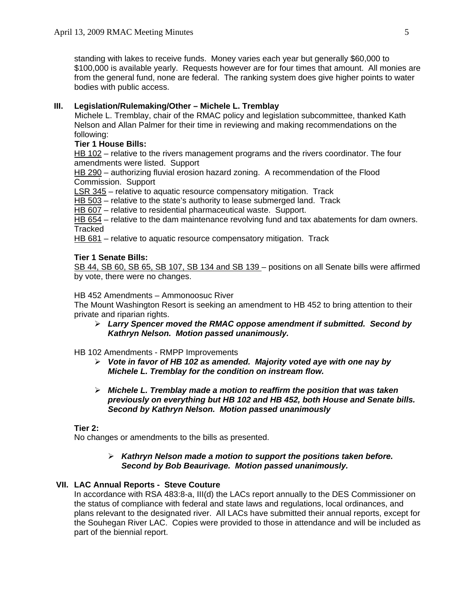standing with lakes to receive funds. Money varies each year but generally \$60,000 to \$100,000 is available yearly. Requests however are for four times that amount. All monies are from the general fund, none are federal. The ranking system does give higher points to water bodies with public access.

## **III. Legislation/Rulemaking/Other – Michele L. Tremblay**

 Michele L. Tremblay, chair of the RMAC policy and legislation subcommittee, thanked Kath Nelson and Allan Palmer for their time in reviewing and making recommendations on the following:

## **Tier 1 House Bills:**

HB 102 – relative to the rivers management programs and the rivers coordinator. The four amendments were listed. Support

HB 290 – authorizing fluvial erosion hazard zoning. A recommendation of the Flood Commission. Support

LSR 345 - relative to aquatic resource compensatory mitigation. Track

HB 503 – relative to the state's authority to lease submerged land. Track

HB 607 – relative to residential pharmaceutical waste. Support.

HB 654 – relative to the dam maintenance revolving fund and tax abatements for dam owners. **Tracked** 

HB 681 – relative to aquatic resource compensatory mitigation. Track

## **Tier 1 Senate Bills:**

SB 44, SB 60, SB 65, SB 107, SB 134 and SB 139 – positions on all Senate bills were affirmed by vote, there were no changes.

## HB 452 Amendments – Ammonoosuc River

The Mount Washington Resort is seeking an amendment to HB 452 to bring attention to their private and riparian rights.

¾ *Larry Spencer moved the RMAC oppose amendment if submitted. Second by Kathryn Nelson. Motion passed unanimously.*

## HB 102 Amendments - RMPP Improvements

- ¾ *Vote in favor of HB 102 as amended. Majority voted aye with one nay by Michele L. Tremblay for the condition on instream flow.*
- ¾ *Michele L. Tremblay made a motion to reaffirm the position that was taken previously on everything but HB 102 and HB 452, both House and Senate bills. Second by Kathryn Nelson. Motion passed unanimously*

## **Tier 2:**

No changes or amendments to the bills as presented.

## ¾ *Kathryn Nelson made a motion to support the positions taken before. Second by Bob Beaurivage. Motion passed unanimously.*

## **VII. LAC Annual Reports - Steve Couture**

In accordance with RSA 483:8-a, III(d) the LACs report annually to the DES Commissioner on the status of compliance with federal and state laws and regulations, local ordinances, and plans relevant to the designated river. All LACs have submitted their annual reports, except for the Souhegan River LAC. Copies were provided to those in attendance and will be included as part of the biennial report.